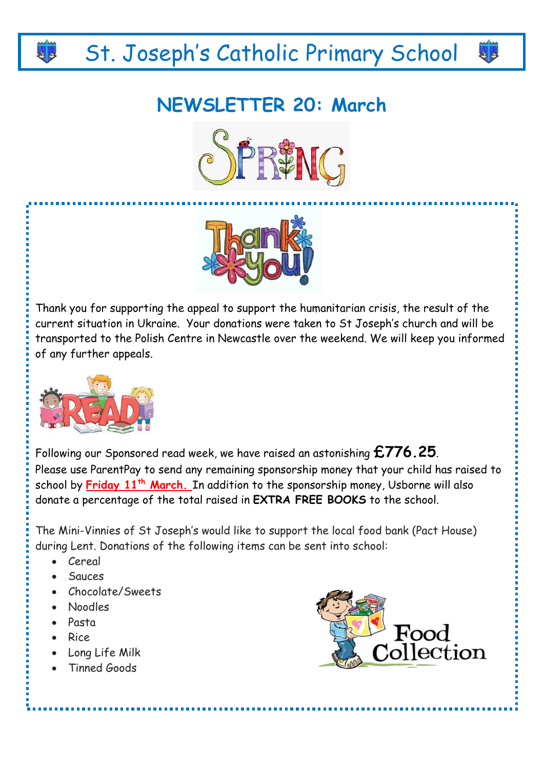# St. Joseph's Catholic Primary School

## **NEWSLETTER 20: March**





Thank you for supporting the appeal to support the humanitarian crisis, the result of the current situation in Ukraine. Your donations were taken to St Joseph's church and will be transported to the Polish Centre in Newcastle over the weekend. We will keep you informed of any further appeals.



Following our Sponsored read week, we have raised an astonishing **£776.25**. Please use ParentPay to send any remaining sponsorship money that your child has raised to school by **Friday 11th March.** In addition to the sponsorship money, Usborne will also donate a percentage of the total raised in **EXTRA FREE BOOKS** to the school.

The Mini-Vinnies of St Joseph's would like to support the local food bank (Pact House) during Lent. Donations of the following items can be sent into school:

- Cereal
- Sauces
- Chocolate/Sweets
- Noodles
- Pasta
- Rice
- Long Life Milk
- Tinned Goods



ہ ہ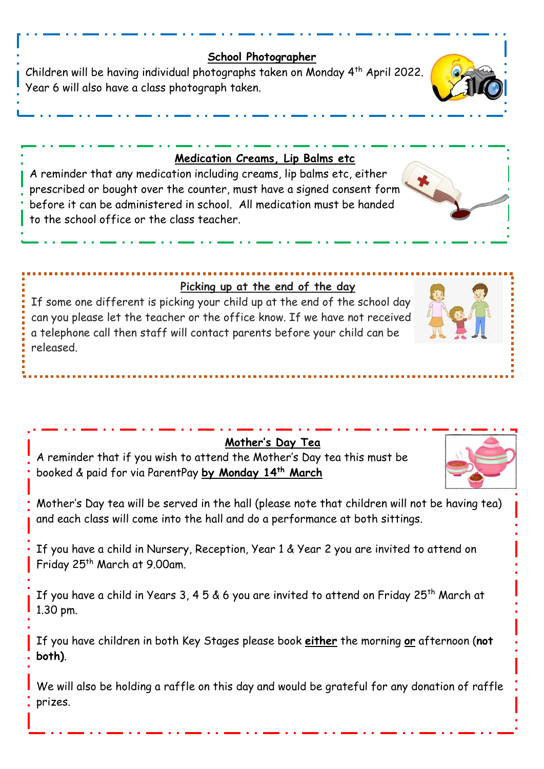#### **School Photographer**

Children will be having individual photographs taken on Monday 4th April 2022. Year 6 will also have a class photograph taken.

#### **Medication Creams, Lip Balms etc**

A reminder that any medication including creams, lip balms etc, either prescribed or bought over the counter, must have a signed consent form before it can be administered in school. All medication must be handed to the school office or the class teacher.

#### **Picking up at the end of the day**

If some one different is picking your child up at the end of the school day can you please let the teacher or the office know. If we have not received a telephone call then staff will contact parents before your child can be released.

### **Mother's Day Tea**

A reminder that if you wish to attend the Mother's Day tea this must be booked & paid for via ParentPay **by Monday 14th March**

Mother's Day tea will be served in the hall (please note that children will not be having tea) and each class will come into the hall and do a performance at both sittings.

If you have a child in Nursery, Reception, Year 1 & Year 2 you are invited to attend on Friday 25<sup>th</sup> March at 9.00am.

If you have a child in Years 3, 4 5 & 6 you are invited to attend on Friday 25<sup>th</sup> March at 1.30 pm.

If you have children in both Key Stages please book **either** the morning **or** afternoon (**not both)**.

We will also be holding a raffle on this day and would be grateful for any donation of raffle prizes.